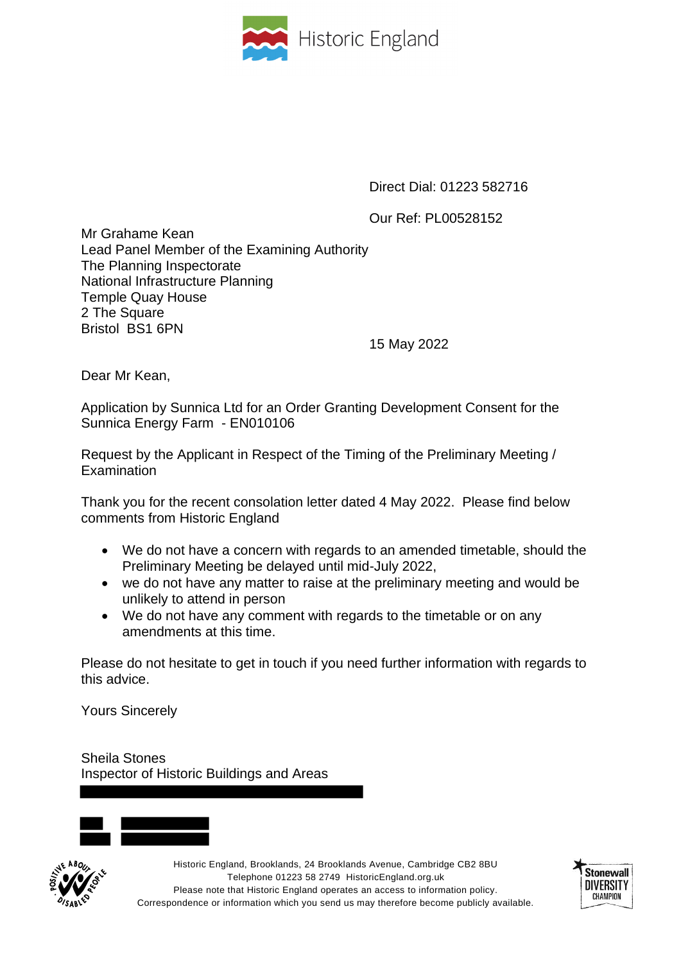

Direct Dial: 01223 582716

Our Ref: PL00528152

Mr Grahame Kean Lead Panel Member of the Examining Authority The Planning Inspectorate National Infrastructure Planning Temple Quay House 2 The Square Bristol BS1 6PN

15 May 2022

Dear Mr Kean,

Application by Sunnica Ltd for an Order Granting Development Consent for the Sunnica Energy Farm - EN010106

Request by the Applicant in Respect of the Timing of the Preliminary Meeting / **Examination** 

Thank you for the recent consolation letter dated 4 May 2022. Please find below comments from Historic England

- We do not have a concern with regards to an amended timetable, should the Preliminary Meeting be delayed until mid-July 2022,
- we do not have any matter to raise at the preliminary meeting and would be unlikely to attend in person
- We do not have any comment with regards to the timetable or on any amendments at this time.

Please do not hesitate to get in touch if you need further information with regards to this advice.

Yours Sincerely

Sheila Stones Inspector of Historic Buildings and Areas





Historic England, Brooklands, 24 Brooklands Avenue, Cambridge CB2 8BU Telephone 01223 58 2749 HistoricEngland.org.uk Please note that Historic England operates an access to information policy. Correspondence or information which you send us may therefore become publicly available.